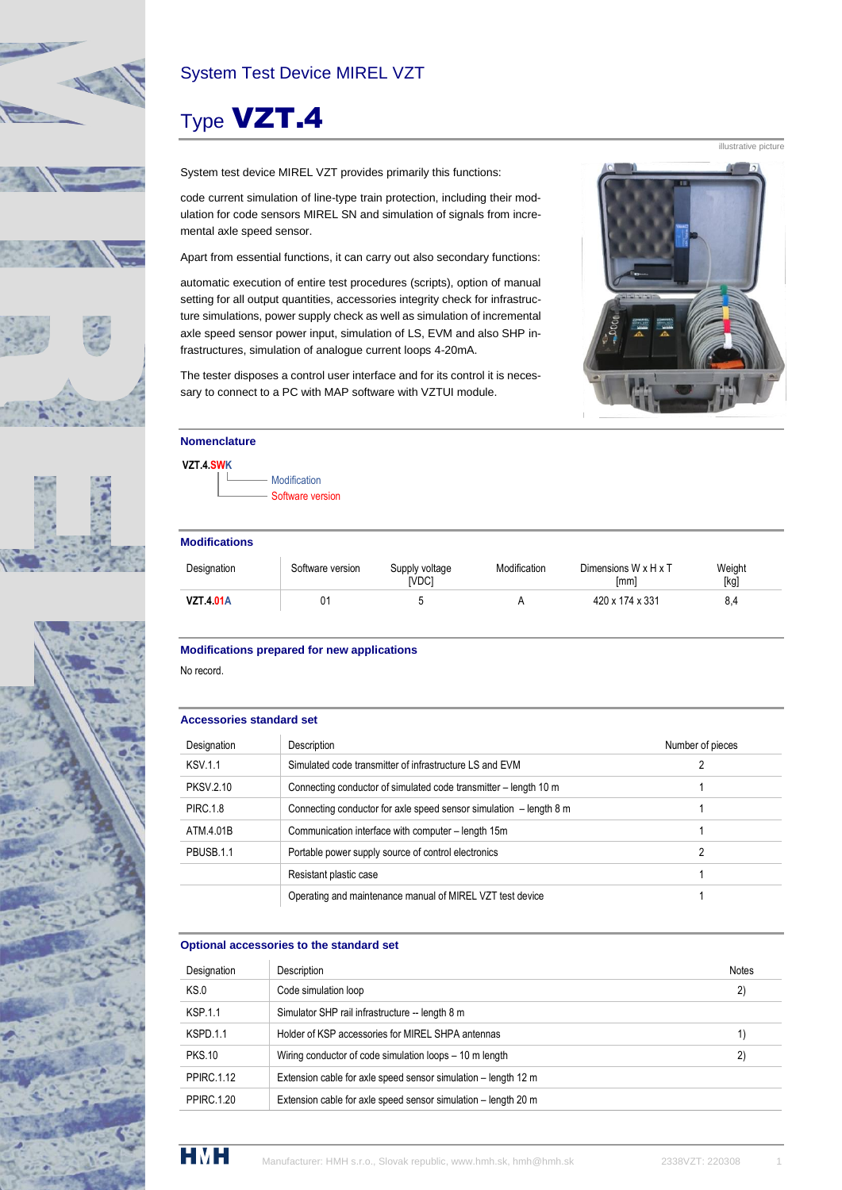



### System Test Device MIREL VZT

# Type VZT.4

System test device MIREL VZT provides primarily this functions:

code current simulation of line-type train protection, including their modulation for code sensors MIREL SN and simulation of signals from incremental axle speed sensor.

Apart from essential functions, it can carry out also secondary functions:

automatic execution of entire test procedures (scripts), option of manual setting for all output quantities, accessories integrity check for infrastructure simulations, power supply check as well as simulation of incremental axle speed sensor power input, simulation of LS, EVM and also SHP infrastructures, simulation of analogue current loops 4-20mA.

The tester disposes a control user interface and for its control it is necessary to connect to a PC with MAP software with VZTUI module.



#### **VZT.4.SWK**

Modification Software version

#### **Modifications**

| Designation      | Software version | Supply voltage<br><b>IVDC1</b> | Modification | Dimensions $W \times H \times T$<br>[mm] | Weight<br>[kg] |  |
|------------------|------------------|--------------------------------|--------------|------------------------------------------|----------------|--|
| <b>VZT 4 01A</b> | 01               |                                |              | 420 x 174 x 331                          | 8.4            |  |

#### **Modifications prepared for new applications**

No record.

#### **Accessories standard set**

| Designation      | Description                                                        | Number of pieces |
|------------------|--------------------------------------------------------------------|------------------|
| <b>KSV 1.1</b>   | Simulated code transmitter of infrastructure LS and EVM            |                  |
| <b>PKSV.2.10</b> | Connecting conductor of simulated code transmitter – length 10 m   |                  |
| <b>PIRC.1.8</b>  | Connecting conductor for axle speed sensor simulation - length 8 m |                  |
| ATM 4.01B        | Communication interface with computer - length 15m                 |                  |
| PBUSB.1.1        | Portable power supply source of control electronics                | 2                |
|                  | Resistant plastic case                                             |                  |
|                  | Operating and maintenance manual of MIREL VZT test device          |                  |

#### **Optional accessories to the standard set**

| Designation       | Description                                                    | <b>Notes</b> |
|-------------------|----------------------------------------------------------------|--------------|
| KS.0              | Code simulation loop                                           | 2)           |
| <b>KSP 1.1</b>    | Simulator SHP rail infrastructure -- length 8 m                |              |
| KSPD 1.1          | Holder of KSP accessories for MIREL SHPA antennas              | 1)           |
| <b>PKS.10</b>     | Wiring conductor of code simulation loops - 10 m length        | 2)           |
| <b>PPIRC.1.12</b> | Extension cable for axle speed sensor simulation – length 12 m |              |
| <b>PPIRC.1.20</b> | Extension cable for axle speed sensor simulation - length 20 m |              |



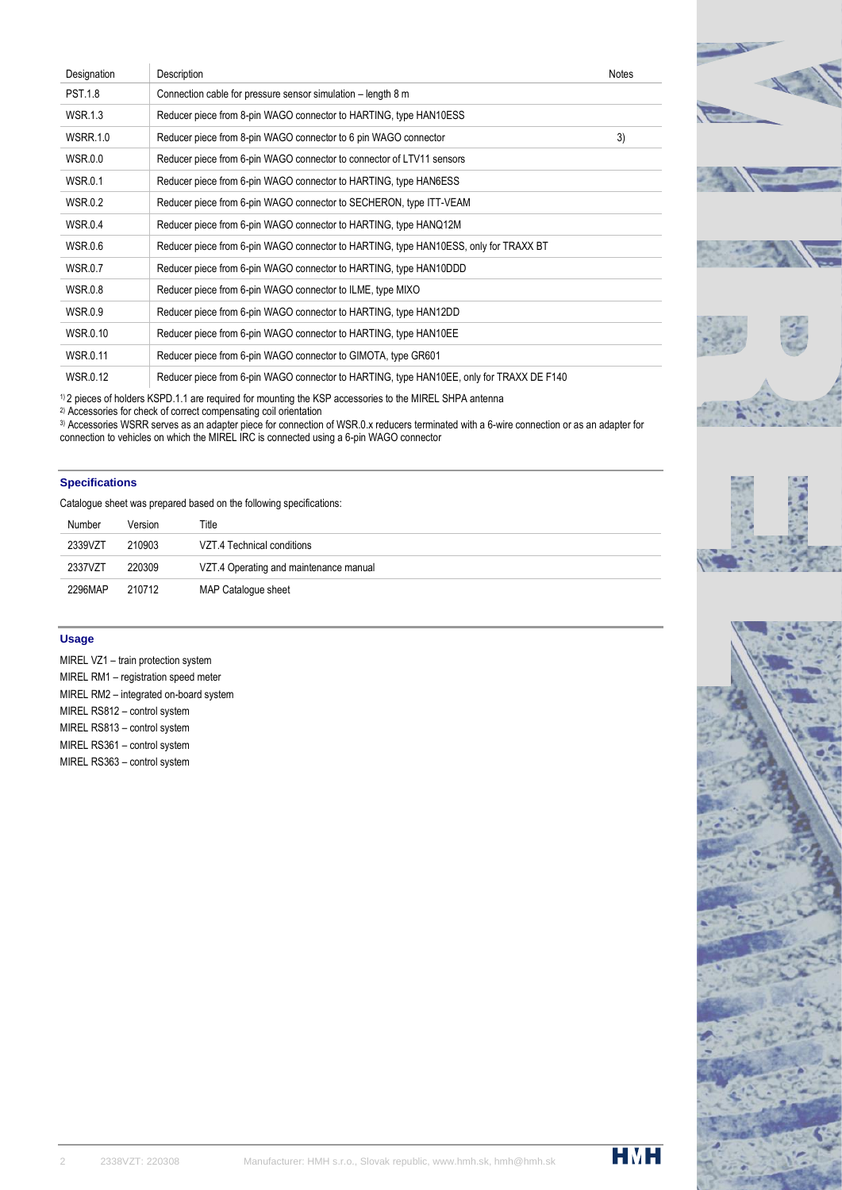| Designation     | Description                                                                              | <b>Notes</b> |
|-----------------|------------------------------------------------------------------------------------------|--------------|
| <b>PST.1.8</b>  | Connection cable for pressure sensor simulation - length 8 m                             |              |
| <b>WSR.1.3</b>  | Reducer piece from 8-pin WAGO connector to HARTING, type HAN10ESS                        |              |
| <b>WSRR.1.0</b> | Reducer piece from 8-pin WAGO connector to 6 pin WAGO connector                          | 3)           |
| <b>WSR.0.0</b>  | Reducer piece from 6-pin WAGO connector to connector of LTV11 sensors                    |              |
| <b>WSR.0.1</b>  | Reducer piece from 6-pin WAGO connector to HARTING, type HAN6ESS                         |              |
| <b>WSR.0.2</b>  | Reducer piece from 6-pin WAGO connector to SECHERON, type ITT-VEAM                       |              |
| <b>WSR.0.4</b>  | Reducer piece from 6-pin WAGO connector to HARTING, type HANQ12M                         |              |
| <b>WSR.0.6</b>  | Reducer piece from 6-pin WAGO connector to HARTING, type HAN10ESS, only for TRAXX BT     |              |
| <b>WSR.0.7</b>  | Reducer piece from 6-pin WAGO connector to HARTING, type HAN10DDD                        |              |
| <b>WSR.0.8</b>  | Reducer piece from 6-pin WAGO connector to ILME, type MIXO                               |              |
| <b>WSR.0.9</b>  | Reducer piece from 6-pin WAGO connector to HARTING, type HAN12DD                         |              |
| <b>WSR.0.10</b> | Reducer piece from 6-pin WAGO connector to HARTING, type HAN10EE                         |              |
| <b>WSR.0.11</b> | Reducer piece from 6-pin WAGO connector to GIMOTA, type GR601                            |              |
| <b>WSR.0.12</b> | Reducer piece from 6-pin WAGO connector to HARTING, type HAN10EE, only for TRAXX DE F140 |              |



2) Accessories for check of correct compensating coil orientation

3) Accessories WSRR serves as an adapter piece for connection of WSR.0.x reducers terminated with a 6-wire connection or as an adapter for connection to vehicles on which the MIREL IRC is connected using a 6-pin WAGO connector

#### **Specifications**

Catalogue sheet was prepared based on the following specifications:

| Number  | Version | Title                                  |
|---------|---------|----------------------------------------|
| 2339VZT | 210903  | VZT 4 Technical conditions             |
| 2337VZT | 220309  | VZT.4 Operating and maintenance manual |
| 2296MAP | 210712  | MAP Catalogue sheet                    |

#### **Usage**

MIREL VZ1 – train protection system MIREL RM1 – registration speed meter MIREL RM2 – integrated on-board system MIREL RS812 – control system MIREL RS813 – control system MIREL RS361 – control system MIREL RS363 – control system